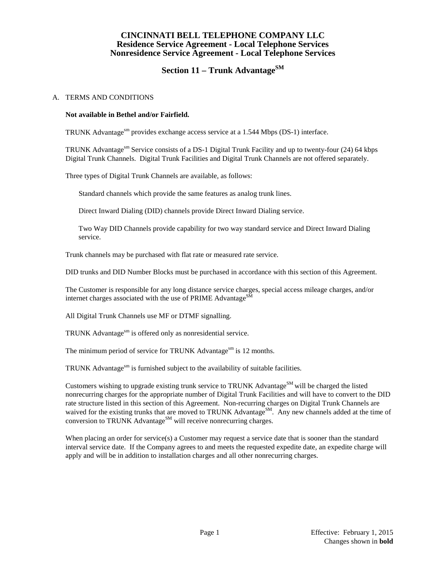### **CINCINNATI BELL TELEPHONE COMPANY LLC Residence Service Agreement - Local Telephone Services Nonresidence Service Agreement - Local Telephone Services**

# **Section 11 – Trunk Advantage**SM

#### A. TERMS AND CONDITIONS

#### **Not available in Bethel and/or Fairfield.**

TRUNK Advantage<sup>sm</sup> provides exchange access service at a 1.544 Mbps (DS-1) interface.

TRUNK Advantagesm Service consists of a DS-1 Digital Trunk Facility and up to twenty-four (24) 64 kbps Digital Trunk Channels. Digital Trunk Facilities and Digital Trunk Channels are not offered separately.

Three types of Digital Trunk Channels are available, as follows:

Standard channels which provide the same features as analog trunk lines.

Direct Inward Dialing (DID) channels provide Direct Inward Dialing service.

Two Way DID Channels provide capability for two way standard service and Direct Inward Dialing service.

Trunk channels may be purchased with flat rate or measured rate service.

DID trunks and DID Number Blocks must be purchased in accordance with this section of this Agreement.

The Customer is responsible for any long distance service charges, special access mileage charges, and/or internet charges associated with the use of PRIME Advantage $^{SM}$ 

All Digital Trunk Channels use MF or DTMF signalling.

TRUNK Advantage<sup>sm</sup> is offered only as nonresidential service.

The minimum period of service for TRUNK Advantage<sup>sm</sup> is 12 months.

TRUNK Advantage $\mathrm{^{sm}}$  is furnished subject to the availability of suitable facilities.

Customers wishing to upgrade existing trunk service to TRUNK Advantage<sup>SM</sup> will be charged the listed nonrecurring charges for the appropriate number of Digital Trunk Facilities and will have to convert to the DID rate structure listed in this section of this Agreement. Non-recurring charges on Digital Trunk Channels are waived for the existing trunks that are moved to TRUNK Advantage<sup>SM</sup>. Any new channels added at the time of conversion to TRUNK Advantage<sup>SM</sup> will receive nonrecurring charges.

When placing an order for service(s) a Customer may request a service date that is sooner than the standard interval service date. If the Company agrees to and meets the requested expedite date, an expedite charge will apply and will be in addition to installation charges and all other nonrecurring charges.